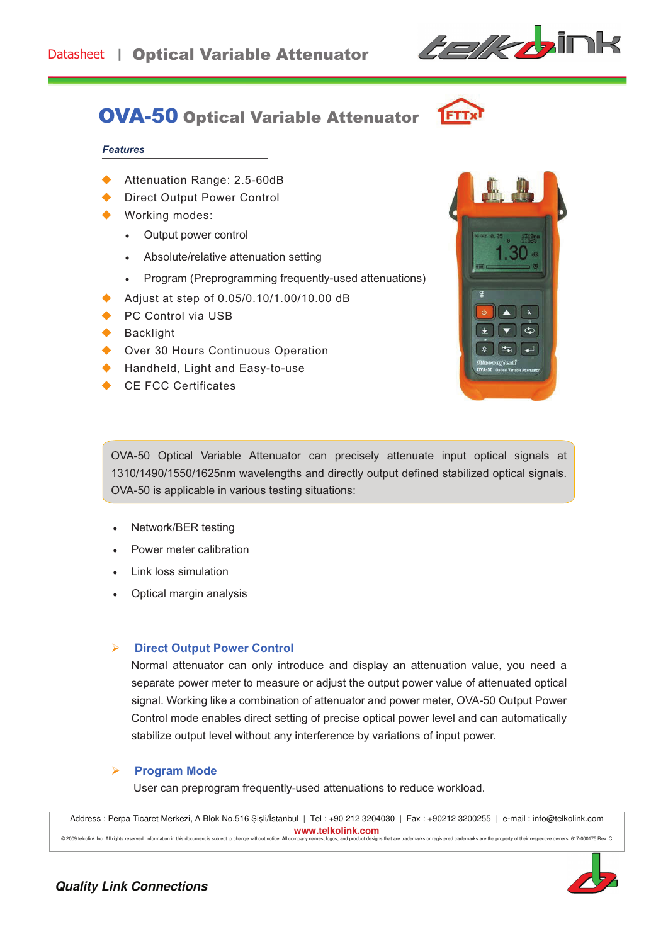

# OVA-50 Optical Variable Attenuator

### **Features**

- ◆ Attenuation Range: 2.5-60dB
- Direct Output Power Control
- Working modes:
	- Output power control
	- . Absolute/relative attenuation setting
	- ! Program (Preprogramming frequently-used attenuations)
- ! Adjust at step of 0.05/0.10/1.00/10.00 dB
- PC Control via USB
- **Backlight**
- ◆ Over 30 Hours Continuous Operation
- ◆ Handheld, Light and Easy-to-use
- CE FCC Certificates



OVA-50 Optical Variable Attenuator can precisely attenuate input optical signals at 1310/1490/1550/1625nm wavelengths and directly output defined stabilized optical signals. OVA-50 is applicable in various testing situations:

- Network/BER testing
- Power meter calibration
- Link loss simulation
- Optical margin analysis

## **Direct Output Power Control**

Normal attenuator can only introduce and display an attenuation value, you need a separate power meter to measure or adjust the output power value of attenuated optical signal. Working like a combination of attenuator and power meter, OVA-50 Output Power Control mode enables direct setting of precise optical power level and can automatically stabilize output level without any interference by variations of input power.

### **Program Mode**

User can preprogram frequently-used attenuations to reduce workload.

Address : Perpa Ticaret Merkezi, A Blok No.516 Şişli/İstanbul | Tel : +90 212 3204030 | Fax : +90212 3200255 | e-mail : info@telkolink.com **www.telkolink.com**  @ 2009 telcolink Inc. All rights reserved. Information in this document is subject to change without notice. All company names, logos, and product designs that are trademarks or registered trademarks are the property of th